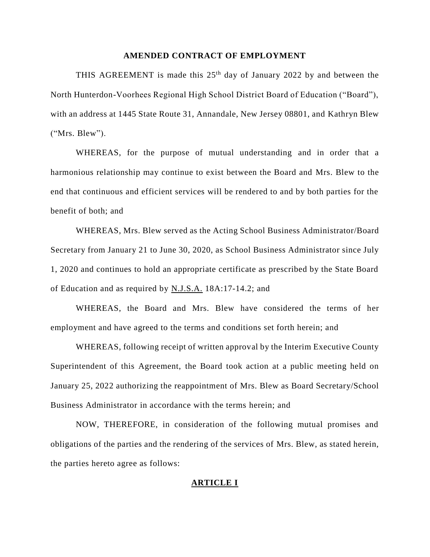### **AMENDED CONTRACT OF EMPLOYMENT**

THIS AGREEMENT is made this  $25<sup>th</sup>$  day of January 2022 by and between the North Hunterdon-Voorhees Regional High School District Board of Education ("Board"), with an address at 1445 State Route 31, Annandale, New Jersey 08801, and Kathryn Blew ("Mrs. Blew").

WHEREAS, for the purpose of mutual understanding and in order that a harmonious relationship may continue to exist between the Board and Mrs. Blew to the end that continuous and efficient services will be rendered to and by both parties for the benefit of both; and

WHEREAS, Mrs. Blew served as the Acting School Business Administrator/Board Secretary from January 21 to June 30, 2020, as School Business Administrator since July 1, 2020 and continues to hold an appropriate certificate as prescribed by the State Board of Education and as required by N.J.S.A. 18A:17-14.2; and

WHEREAS, the Board and Mrs. Blew have considered the terms of her employment and have agreed to the terms and conditions set forth herein; and

WHEREAS, following receipt of written approval by the Interim Executive County Superintendent of this Agreement, the Board took action at a public meeting held on January 25, 2022 authorizing the reappointment of Mrs. Blew as Board Secretary/School Business Administrator in accordance with the terms herein; and

NOW, THEREFORE, in consideration of the following mutual promises and obligations of the parties and the rendering of the services of Mrs. Blew, as stated herein, the parties hereto agree as follows:

# **ARTICLE I**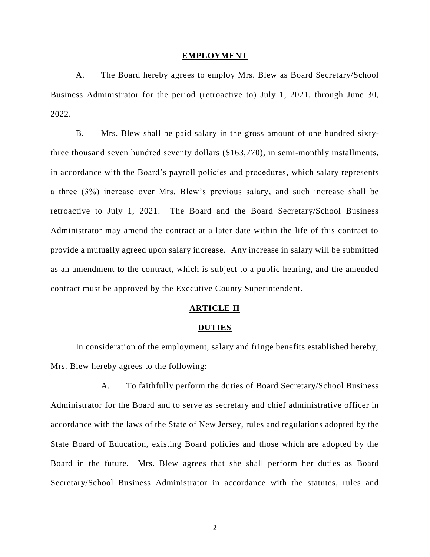#### **EMPLOYMENT**

A. The Board hereby agrees to employ Mrs. Blew as Board Secretary/School Business Administrator for the period (retroactive to) July 1, 2021, through June 30, 2022.

B. Mrs. Blew shall be paid salary in the gross amount of one hundred sixtythree thousand seven hundred seventy dollars (\$163,770), in semi-monthly installments, in accordance with the Board's payroll policies and procedures, which salary represents a three (3%) increase over Mrs. Blew's previous salary, and such increase shall be retroactive to July 1, 2021. The Board and the Board Secretary/School Business Administrator may amend the contract at a later date within the life of this contract to provide a mutually agreed upon salary increase. Any increase in salary will be submitted as an amendment to the contract, which is subject to a public hearing, and the amended contract must be approved by the Executive County Superintendent.

### **ARTICLE II**

#### **DUTIES**

In consideration of the employment, salary and fringe benefits established hereby, Mrs. Blew hereby agrees to the following:

A. To faithfully perform the duties of Board Secretary/School Business Administrator for the Board and to serve as secretary and chief administrative officer in accordance with the laws of the State of New Jersey, rules and regulations adopted by the State Board of Education, existing Board policies and those which are adopted by the Board in the future. Mrs. Blew agrees that she shall perform her duties as Board Secretary/School Business Administrator in accordance with the statutes, rules and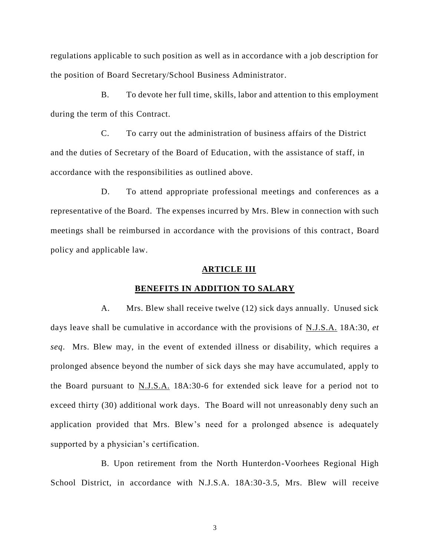regulations applicable to such position as well as in accordance with a job description for the position of Board Secretary/School Business Administrator.

B. To devote her full time, skills, labor and attention to this employment during the term of this Contract.

C. To carry out the administration of business affairs of the District and the duties of Secretary of the Board of Education, with the assistance of staff, in accordance with the responsibilities as outlined above.

D. To attend appropriate professional meetings and conferences as a representative of the Board. The expenses incurred by Mrs. Blew in connection with such meetings shall be reimbursed in accordance with the provisions of this contract, Board policy and applicable law.

#### **ARTICLE III**

# **BENEFITS IN ADDITION TO SALARY**

A. Mrs. Blew shall receive twelve (12) sick days annually. Unused sick days leave shall be cumulative in accordance with the provisions of N.J.S.A. 18A:30, *et seq*. Mrs. Blew may, in the event of extended illness or disability, which requires a prolonged absence beyond the number of sick days she may have accumulated, apply to the Board pursuant to  $N.J.S.A.$  18A:30-6 for extended sick leave for a period not to exceed thirty (30) additional work days. The Board will not unreasonably deny such an application provided that Mrs. Blew's need for a prolonged absence is adequately supported by a physician's certification.

B. Upon retirement from the North Hunterdon-Voorhees Regional High School District, in accordance with N.J.S.A. 18A:30-3.5, Mrs. Blew will receive

3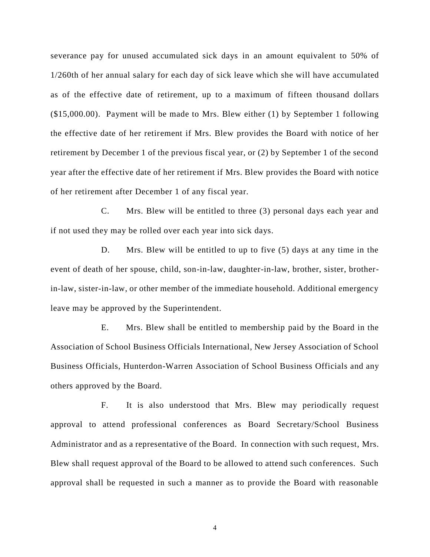severance pay for unused accumulated sick days in an amount equivalent to 50% of 1/260th of her annual salary for each day of sick leave which she will have accumulated as of the effective date of retirement, up to a maximum of fifteen thousand dollars (\$15,000.00). Payment will be made to Mrs. Blew either (1) by September 1 following the effective date of her retirement if Mrs. Blew provides the Board with notice of her retirement by December 1 of the previous fiscal year, or (2) by September 1 of the second year after the effective date of her retirement if Mrs. Blew provides the Board with notice of her retirement after December 1 of any fiscal year.

C. Mrs. Blew will be entitled to three (3) personal days each year and if not used they may be rolled over each year into sick days.

D. Mrs. Blew will be entitled to up to five (5) days at any time in the event of death of her spouse, child, son-in-law, daughter-in-law, brother, sister, brotherin-law, sister-in-law, or other member of the immediate household. Additional emergency leave may be approved by the Superintendent.

E. Mrs. Blew shall be entitled to membership paid by the Board in the Association of School Business Officials International, New Jersey Association of School Business Officials, Hunterdon-Warren Association of School Business Officials and any others approved by the Board.

F. It is also understood that Mrs. Blew may periodically request approval to attend professional conferences as Board Secretary/School Business Administrator and as a representative of the Board. In connection with such request, Mrs. Blew shall request approval of the Board to be allowed to attend such conferences. Such approval shall be requested in such a manner as to provide the Board with reasonable

4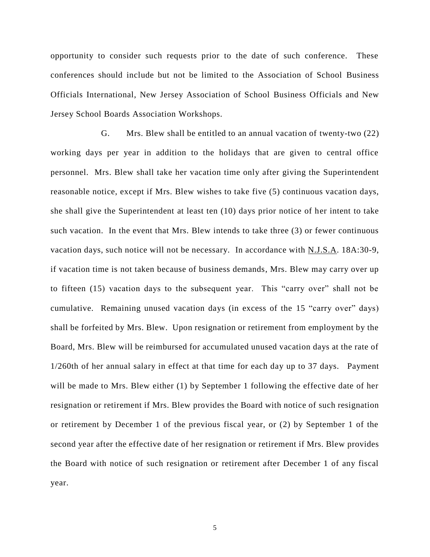opportunity to consider such requests prior to the date of such conference. These conferences should include but not be limited to the Association of School Business Officials International, New Jersey Association of School Business Officials and New Jersey School Boards Association Workshops.

G. Mrs. Blew shall be entitled to an annual vacation of twenty-two (22) working days per year in addition to the holidays that are given to central office personnel. Mrs. Blew shall take her vacation time only after giving the Superintendent reasonable notice, except if Mrs. Blew wishes to take five (5) continuous vacation days, she shall give the Superintendent at least ten (10) days prior notice of her intent to take such vacation. In the event that Mrs. Blew intends to take three (3) or fewer continuous vacation days, such notice will not be necessary. In accordance with N.J.S.A. 18A:30-9, if vacation time is not taken because of business demands, Mrs. Blew may carry over up to fifteen (15) vacation days to the subsequent year. This "carry over" shall not be cumulative. Remaining unused vacation days (in excess of the 15 "carry over" days) shall be forfeited by Mrs. Blew. Upon resignation or retirement from employment by the Board, Mrs. Blew will be reimbursed for accumulated unused vacation days at the rate of 1/260th of her annual salary in effect at that time for each day up to 37 days. Payment will be made to Mrs. Blew either (1) by September 1 following the effective date of her resignation or retirement if Mrs. Blew provides the Board with notice of such resignation or retirement by December 1 of the previous fiscal year, or (2) by September 1 of the second year after the effective date of her resignation or retirement if Mrs. Blew provides the Board with notice of such resignation or retirement after December 1 of any fiscal year.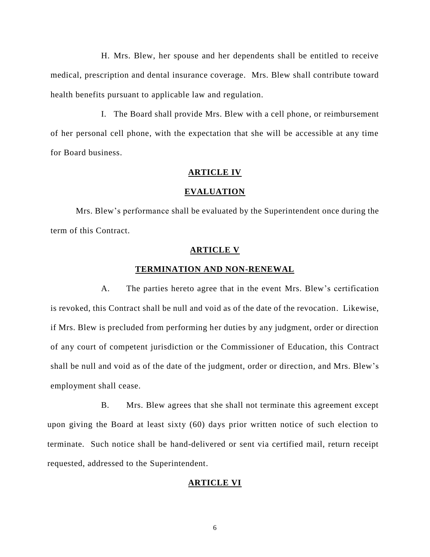H. Mrs. Blew, her spouse and her dependents shall be entitled to receive medical, prescription and dental insurance coverage. Mrs. Blew shall contribute toward health benefits pursuant to applicable law and regulation.

I. The Board shall provide Mrs. Blew with a cell phone, or reimbursement of her personal cell phone, with the expectation that she will be accessible at any time for Board business.

#### **ARTICLE IV**

# **EVALUATION**

Mrs. Blew's performance shall be evaluated by the Superintendent once during the term of this Contract.

### **ARTICLE V**

## **TERMINATION AND NON-RENEWAL**

A. The parties hereto agree that in the event Mrs. Blew's certification is revoked, this Contract shall be null and void as of the date of the revocation. Likewise, if Mrs. Blew is precluded from performing her duties by any judgment, order or direction of any court of competent jurisdiction or the Commissioner of Education, this Contract shall be null and void as of the date of the judgment, order or direction, and Mrs. Blew's employment shall cease.

B. Mrs. Blew agrees that she shall not terminate this agreement except upon giving the Board at least sixty (60) days prior written notice of such election to terminate. Such notice shall be hand-delivered or sent via certified mail, return receipt requested, addressed to the Superintendent.

## **ARTICLE VI**

6